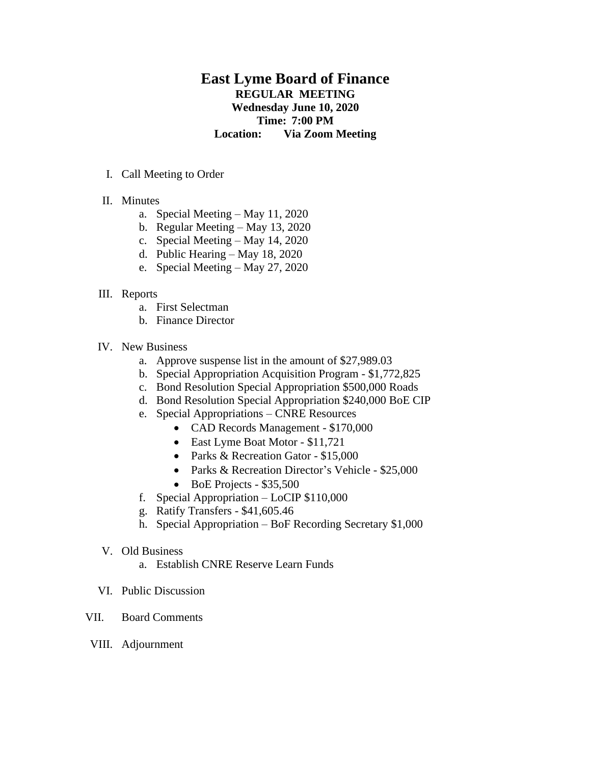# **East Lyme Board of Finance REGULAR MEETING Wednesday June 10, 2020 Time: 7:00 PM Location: Via Zoom Meeting**

- I. Call Meeting to Order
- II. Minutes
	- a. Special Meeting May 11, 2020
	- b. Regular Meeting May 13, 2020
	- c. Special Meeting May 14, 2020
	- d. Public Hearing May 18, 2020
	- e. Special Meeting May 27, 2020

#### III. Reports

- a. First Selectman
- b. Finance Director

#### IV. New Business

- a. Approve suspense list in the amount of \$27,989.03
- b. Special Appropriation Acquisition Program \$1,772,825
- c. Bond Resolution Special Appropriation \$500,000 Roads
- d. Bond Resolution Special Appropriation \$240,000 BoE CIP
- e. Special Appropriations CNRE Resources
	- CAD Records Management \$170,000
	- East Lyme Boat Motor \$11,721
	- Parks & Recreation Gator \$15,000
	- Parks & Recreation Director's Vehicle \$25,000
	- BoE Projects \$35,500
- f. Special Appropriation LoCIP \$110,000
- g. Ratify Transfers \$41,605.46
- h. Special Appropriation BoF Recording Secretary \$1,000
- V. Old Business
	- a. Establish CNRE Reserve Learn Funds
- VI. Public Discussion
- VII. Board Comments
- VIII. Adjournment